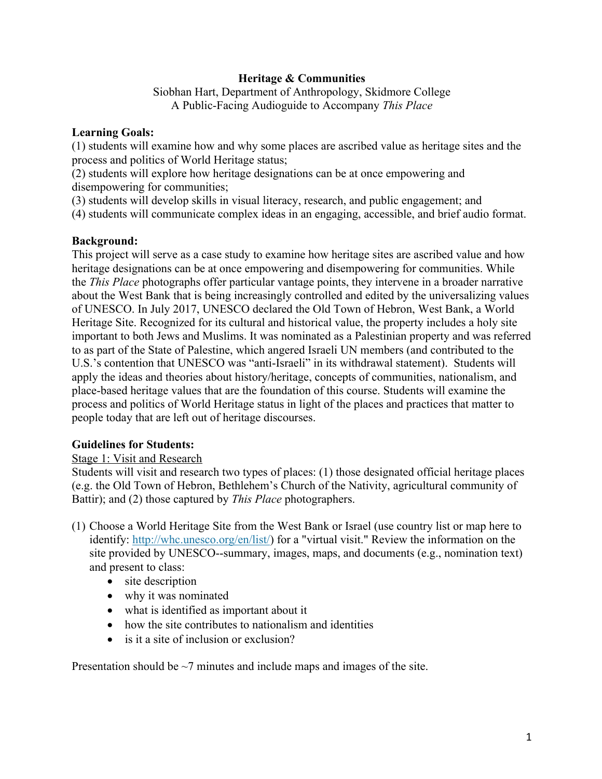# **Heritage & Communities**

Siobhan Hart, Department of Anthropology, Skidmore College A Public-Facing Audioguide to Accompany *This Place*

## **Learning Goals:**

(1) students will examine how and why some places are ascribed value as heritage sites and the process and politics of World Heritage status;

(2) students will explore how heritage designations can be at once empowering and disempowering for communities;

(3) students will develop skills in visual literacy, research, and public engagement; and

(4) students will communicate complex ideas in an engaging, accessible, and brief audio format.

# **Background:**

This project will serve as a case study to examine how heritage sites are ascribed value and how heritage designations can be at once empowering and disempowering for communities. While the *This Place* photographs offer particular vantage points, they intervene in a broader narrative about the West Bank that is being increasingly controlled and edited by the universalizing values of UNESCO. In July 2017, UNESCO declared the Old Town of Hebron, West Bank, a World Heritage Site. Recognized for its cultural and historical value, the property includes a holy site important to both Jews and Muslims. It was nominated as a Palestinian property and was referred to as part of the State of Palestine, which angered Israeli UN members (and contributed to the U.S.'s contention that UNESCO was "anti-Israeli" in its withdrawal statement). Students will apply the ideas and theories about history/heritage, concepts of communities, nationalism, and place-based heritage values that are the foundation of this course. Students will examine the process and politics of World Heritage status in light of the places and practices that matter to people today that are left out of heritage discourses.

# **Guidelines for Students:**

# Stage 1: Visit and Research

Students will visit and research two types of places: (1) those designated official heritage places (e.g. the Old Town of Hebron, Bethlehem's Church of the Nativity, agricultural community of Battir); and (2) those captured by *This Place* photographers.

- (1) Choose a World Heritage Site from the West Bank or Israel (use country list or map here to identify: http://whc.unesco.org/en/list/) for a "virtual visit." Review the information on the site provided by UNESCO--summary, images, maps, and documents (e.g., nomination text) and present to class:
	- site description
	- why it was nominated
	- what is identified as important about it
	- how the site contributes to nationalism and identities
	- is it a site of inclusion or exclusion?

Presentation should be  $\sim$ 7 minutes and include maps and images of the site.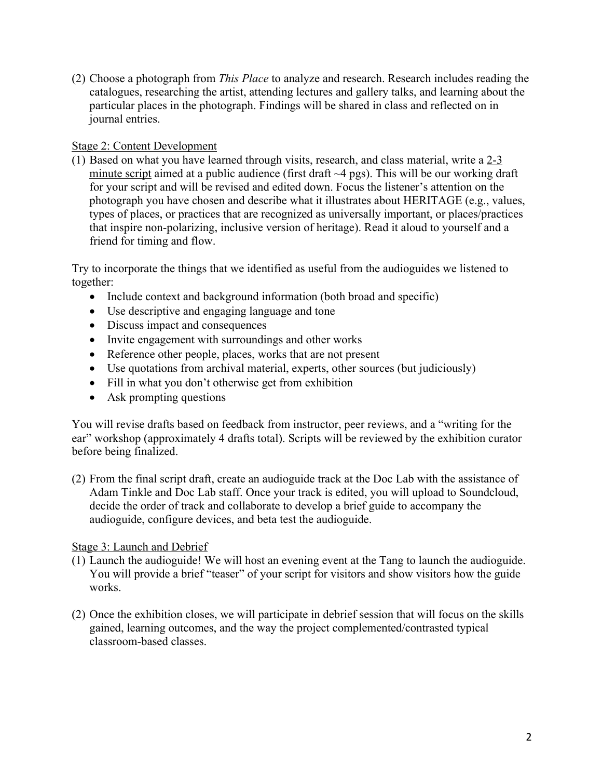(2) Choose a photograph from *This Place* to analyze and research. Research includes reading the catalogues, researching the artist, attending lectures and gallery talks, and learning about the particular places in the photograph. Findings will be shared in class and reflected on in journal entries.

# Stage 2: Content Development

(1) Based on what you have learned through visits, research, and class material, write a 2-3 minute script aimed at a public audience (first draft  $\sim$ 4 pgs). This will be our working draft for your script and will be revised and edited down. Focus the listener's attention on the photograph you have chosen and describe what it illustrates about HERITAGE (e.g., values, types of places, or practices that are recognized as universally important, or places/practices that inspire non-polarizing, inclusive version of heritage). Read it aloud to yourself and a friend for timing and flow.

Try to incorporate the things that we identified as useful from the audioguides we listened to together:

- Include context and background information (both broad and specific)
- Use descriptive and engaging language and tone
- Discuss impact and consequences
- Invite engagement with surroundings and other works
- Reference other people, places, works that are not present
- Use quotations from archival material, experts, other sources (but judiciously)
- Fill in what you don't otherwise get from exhibition
- Ask prompting questions

You will revise drafts based on feedback from instructor, peer reviews, and a "writing for the ear" workshop (approximately 4 drafts total). Scripts will be reviewed by the exhibition curator before being finalized.

(2) From the final script draft, create an audioguide track at the Doc Lab with the assistance of Adam Tinkle and Doc Lab staff. Once your track is edited, you will upload to Soundcloud, decide the order of track and collaborate to develop a brief guide to accompany the audioguide, configure devices, and beta test the audioguide.

# Stage 3: Launch and Debrief

- (1) Launch the audioguide! We will host an evening event at the Tang to launch the audioguide. You will provide a brief "teaser" of your script for visitors and show visitors how the guide works.
- (2) Once the exhibition closes, we will participate in debrief session that will focus on the skills gained, learning outcomes, and the way the project complemented/contrasted typical classroom-based classes.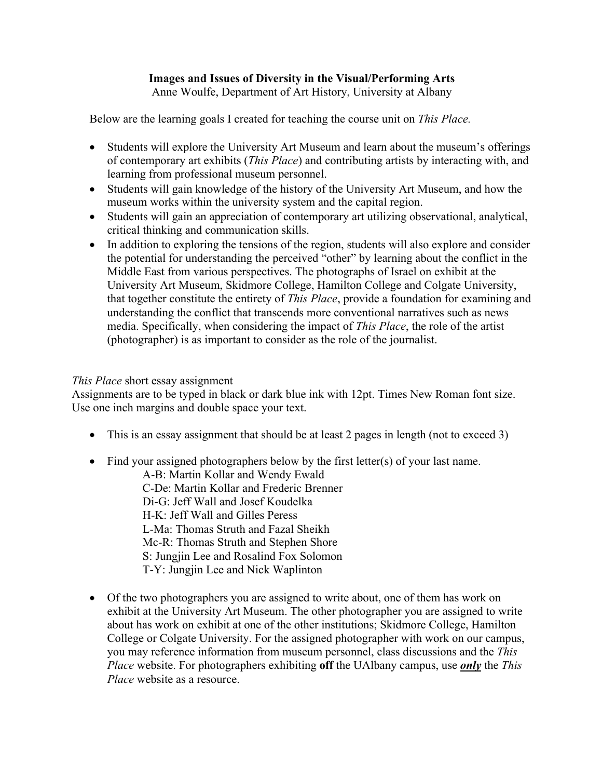# **Images and Issues of Diversity in the Visual/Performing Arts**

Anne Woulfe, Department of Art History, University at Albany

Below are the learning goals I created for teaching the course unit on *This Place.*

- Students will explore the University Art Museum and learn about the museum's offerings of contemporary art exhibits (*This Place*) and contributing artists by interacting with, and learning from professional museum personnel.
- Students will gain knowledge of the history of the University Art Museum, and how the museum works within the university system and the capital region.
- Students will gain an appreciation of contemporary art utilizing observational, analytical, critical thinking and communication skills.
- In addition to exploring the tensions of the region, students will also explore and consider the potential for understanding the perceived "other" by learning about the conflict in the Middle East from various perspectives. The photographs of Israel on exhibit at the University Art Museum, Skidmore College, Hamilton College and Colgate University, that together constitute the entirety of *This Place*, provide a foundation for examining and understanding the conflict that transcends more conventional narratives such as news media. Specifically, when considering the impact of *This Place*, the role of the artist (photographer) is as important to consider as the role of the journalist.

## *This Place* short essay assignment

Assignments are to be typed in black or dark blue ink with 12pt. Times New Roman font size. Use one inch margins and double space your text.

- This is an essay assignment that should be at least 2 pages in length (not to exceed 3)
- Find your assigned photographers below by the first letter(s) of your last name.

A-B: Martin Kollar and Wendy Ewald C-De: Martin Kollar and Frederic Brenner Di-G: Jeff Wall and Josef Koudelka H-K: Jeff Wall and Gilles Peress L-Ma: Thomas Struth and Fazal Sheikh Mc-R: Thomas Struth and Stephen Shore S: Jungjin Lee and Rosalind Fox Solomon T-Y: Jungjin Lee and Nick Waplinton

• Of the two photographers you are assigned to write about, one of them has work on exhibit at the University Art Museum. The other photographer you are assigned to write about has work on exhibit at one of the other institutions; Skidmore College, Hamilton College or Colgate University. For the assigned photographer with work on our campus, you may reference information from museum personnel, class discussions and the *This Place* website. For photographers exhibiting **off** the UAlbany campus, use *only* the *This Place* website as a resource.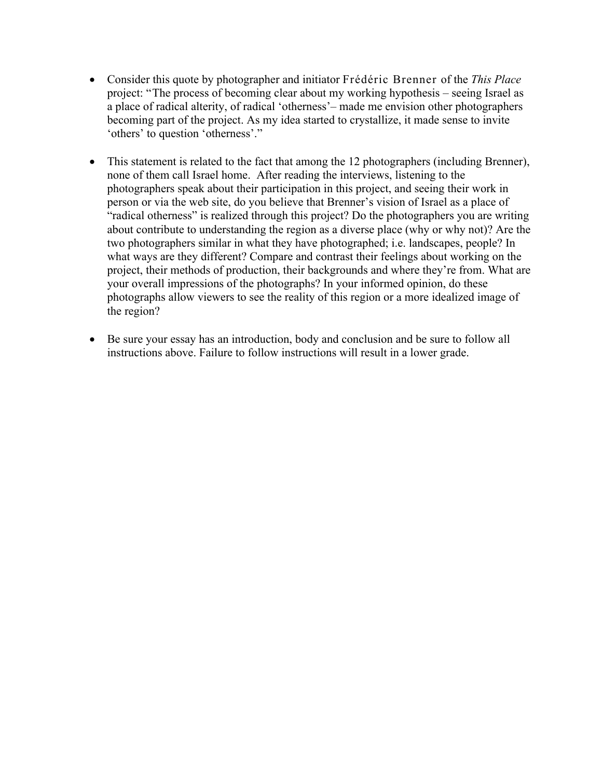- Consider this quote by photographer and initiator Frédéric Brenner of the *This Place* project: "The process of becoming clear about my working hypothesis – seeing Israel as a place of radical alterity, of radical 'otherness'– made me envision other photographers becoming part of the project. As my idea started to crystallize, it made sense to invite 'others' to question 'otherness'."
- This statement is related to the fact that among the 12 photographers (including Brenner), none of them call Israel home. After reading the interviews, listening to the photographers speak about their participation in this project, and seeing their work in person or via the web site, do you believe that Brenner's vision of Israel as a place of "radical otherness" is realized through this project? Do the photographers you are writing about contribute to understanding the region as a diverse place (why or why not)? Are the two photographers similar in what they have photographed; i.e. landscapes, people? In what ways are they different? Compare and contrast their feelings about working on the project, their methods of production, their backgrounds and where they're from. What are your overall impressions of the photographs? In your informed opinion, do these photographs allow viewers to see the reality of this region or a more idealized image of the region?
- Be sure your essay has an introduction, body and conclusion and be sure to follow all instructions above. Failure to follow instructions will result in a lower grade.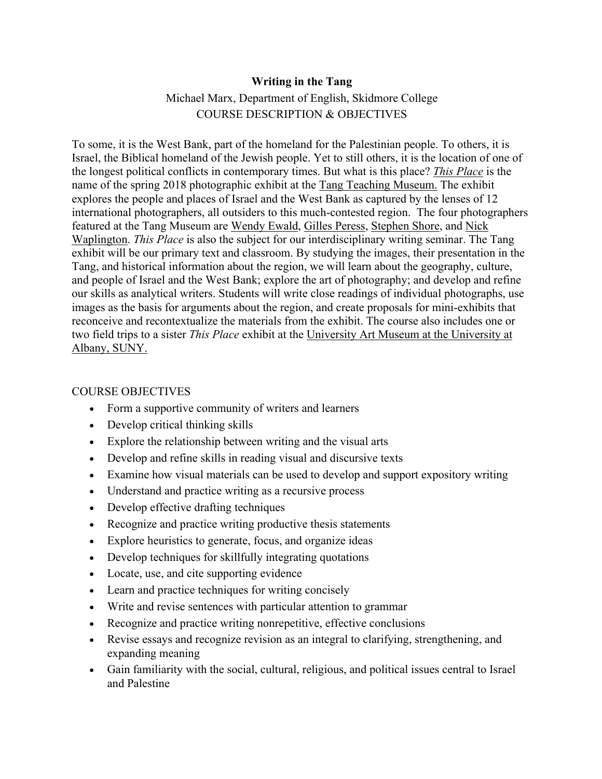# **Writing in the Tang**

# Michael Marx, Department of English, Skidmore College COURSE DESCRIPTION & OBJECTIVES

To some, it is the West Bank, part of the homeland for the Palestinian people. To others, it is Israel, the Biblical homeland of the Jewish people. Yet to still others, it is the location of one of the longest political conflicts in contemporary times. But what is this place? *This Place* is the name of the spring 2018 photographic exhibit at the Tang Teaching Museum. The exhibit explores the people and places of Israel and the West Bank as captured by the lenses of 12 international photographers, all outsiders to this much-contested region. The four photographers featured at the Tang Museum are Wendy Ewald, Gilles Peress, Stephen Shore, and Nick Waplington. *This Place* is also the subject for our interdisciplinary writing seminar. The Tang exhibit will be our primary text and classroom. By studying the images, their presentation in the Tang, and historical information about the region, we will learn about the geography, culture, and people of Israel and the West Bank; explore the art of photography; and develop and refine our skills as analytical writers. Students will write close readings of individual photographs, use images as the basis for arguments about the region, and create proposals for mini-exhibits that reconceive and recontextualize the materials from the exhibit. The course also includes one or two field trips to a sister *This Place* exhibit at the University Art Museum at the University at Albany, SUNY.

## COURSE OBJECTIVES

- Form a supportive community of writers and learners
- Develop critical thinking skills
- Explore the relationship between writing and the visual arts
- Develop and refine skills in reading visual and discursive texts
- Examine how visual materials can be used to develop and support expository writing
- Understand and practice writing as a recursive process
- Develop effective drafting techniques
- Recognize and practice writing productive thesis statements
- Explore heuristics to generate, focus, and organize ideas
- Develop techniques for skillfully integrating quotations
- Locate, use, and cite supporting evidence
- Learn and practice techniques for writing concisely
- Write and revise sentences with particular attention to grammar
- Recognize and practice writing nonrepetitive, effective conclusions
- Revise essays and recognize revision as an integral to clarifying, strengthening, and expanding meaning
- Gain familiarity with the social, cultural, religious, and political issues central to Israel and Palestine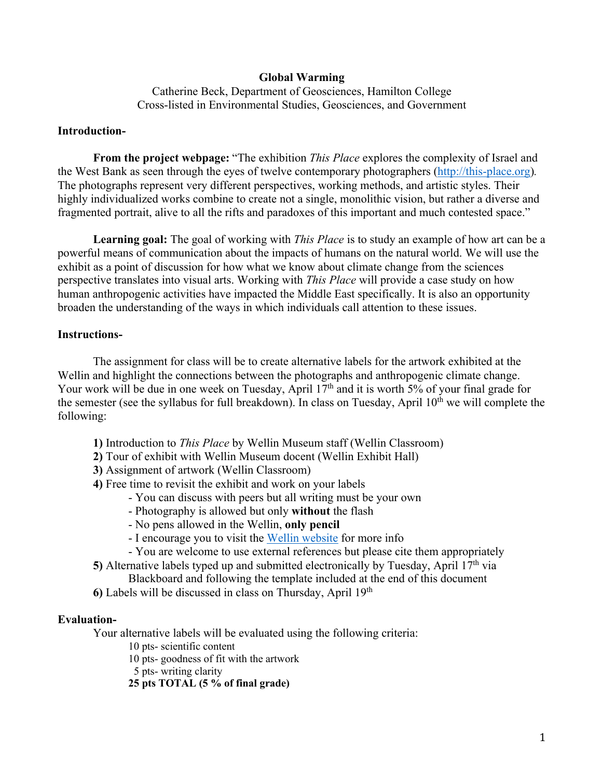## **Global Warming**

Catherine Beck, Department of Geosciences, Hamilton College Cross-listed in Environmental Studies, Geosciences, and Government

## **Introduction-**

**From the project webpage:** "The exhibition *This Place* explores the complexity of Israel and the West Bank as seen through the eyes of twelve contemporary photographers (http://this-place.org)*.* The photographs represent very different perspectives, working methods, and artistic styles. Their highly individualized works combine to create not a single, monolithic vision, but rather a diverse and fragmented portrait, alive to all the rifts and paradoxes of this important and much contested space."

**Learning goal:** The goal of working with *This Place* is to study an example of how art can be a powerful means of communication about the impacts of humans on the natural world. We will use the exhibit as a point of discussion for how what we know about climate change from the sciences perspective translates into visual arts. Working with *This Place* will provide a case study on how human anthropogenic activities have impacted the Middle East specifically. It is also an opportunity broaden the understanding of the ways in which individuals call attention to these issues.

#### **Instructions-**

The assignment for class will be to create alternative labels for the artwork exhibited at the Wellin and highlight the connections between the photographs and anthropogenic climate change. Your work will be due in one week on Tuesday, April  $17<sup>th</sup>$  and it is worth 5% of your final grade for the semester (see the syllabus for full breakdown). In class on Tuesday, April  $10<sup>th</sup>$  we will complete the following:

- **1)** Introduction to *This Place* by Wellin Museum staff (Wellin Classroom)
- **2)** Tour of exhibit with Wellin Museum docent (Wellin Exhibit Hall)
- **3)** Assignment of artwork (Wellin Classroom)
- **4)** Free time to revisit the exhibit and work on your labels
	- You can discuss with peers but all writing must be your own
	- Photography is allowed but only **without** the flash
	- No pens allowed in the Wellin, **only pencil**
	- I encourage you to visit the Wellin website for more info
	- You are welcome to use external references but please cite them appropriately

**5)** Alternative labels typed up and submitted electronically by Tuesday, April  $17<sup>th</sup>$  via

Blackboard and following the template included at the end of this document

**6)** Labels will be discussed in class on Thursday, April 19th

#### **Evaluation-**

Your alternative labels will be evaluated using the following criteria:

10 pts- scientific content

10 pts- goodness of fit with the artwork

5 pts- writing clarity

**25 pts TOTAL (5 % of final grade)**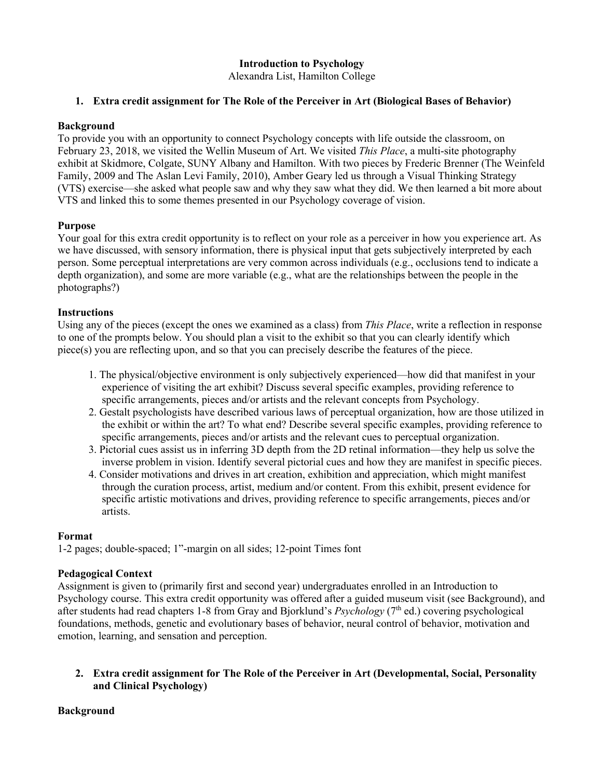## **Introduction to Psychology**

Alexandra List, Hamilton College

## **1. Extra credit assignment for The Role of the Perceiver in Art (Biological Bases of Behavior)**

#### **Background**

To provide you with an opportunity to connect Psychology concepts with life outside the classroom, on February 23, 2018, we visited the Wellin Museum of Art. We visited *This Place*, a multi-site photography exhibit at Skidmore, Colgate, SUNY Albany and Hamilton. With two pieces by Frederic Brenner (The Weinfeld Family, 2009 and The Aslan Levi Family, 2010), Amber Geary led us through a Visual Thinking Strategy (VTS) exercise—she asked what people saw and why they saw what they did. We then learned a bit more about VTS and linked this to some themes presented in our Psychology coverage of vision.

## **Purpose**

Your goal for this extra credit opportunity is to reflect on your role as a perceiver in how you experience art. As we have discussed, with sensory information, there is physical input that gets subjectively interpreted by each person. Some perceptual interpretations are very common across individuals (e.g., occlusions tend to indicate a depth organization), and some are more variable (e.g., what are the relationships between the people in the photographs?)

## **Instructions**

Using any of the pieces (except the ones we examined as a class) from *This Place*, write a reflection in response to one of the prompts below. You should plan a visit to the exhibit so that you can clearly identify which piece(s) you are reflecting upon, and so that you can precisely describe the features of the piece.

- 1. The physical/objective environment is only subjectively experienced—how did that manifest in your experience of visiting the art exhibit? Discuss several specific examples, providing reference to specific arrangements, pieces and/or artists and the relevant concepts from Psychology.
- 2. Gestalt psychologists have described various laws of perceptual organization, how are those utilized in the exhibit or within the art? To what end? Describe several specific examples, providing reference to specific arrangements, pieces and/or artists and the relevant cues to perceptual organization.
- 3. Pictorial cues assist us in inferring 3D depth from the 2D retinal information—they help us solve the inverse problem in vision. Identify several pictorial cues and how they are manifest in specific pieces.
- 4. Consider motivations and drives in art creation, exhibition and appreciation, which might manifest through the curation process, artist, medium and/or content. From this exhibit, present evidence for specific artistic motivations and drives, providing reference to specific arrangements, pieces and/or artists.

## **Format**

1-2 pages; double-spaced; 1"-margin on all sides; 12-point Times font

## **Pedagogical Context**

Assignment is given to (primarily first and second year) undergraduates enrolled in an Introduction to Psychology course. This extra credit opportunity was offered after a guided museum visit (see Background), and after students had read chapters 1-8 from Gray and Bjorklund's *Psychology* (7<sup>th</sup> ed.) covering psychological foundations, methods, genetic and evolutionary bases of behavior, neural control of behavior, motivation and emotion, learning, and sensation and perception.

**2. Extra credit assignment for The Role of the Perceiver in Art (Developmental, Social, Personality and Clinical Psychology)**

#### **Background**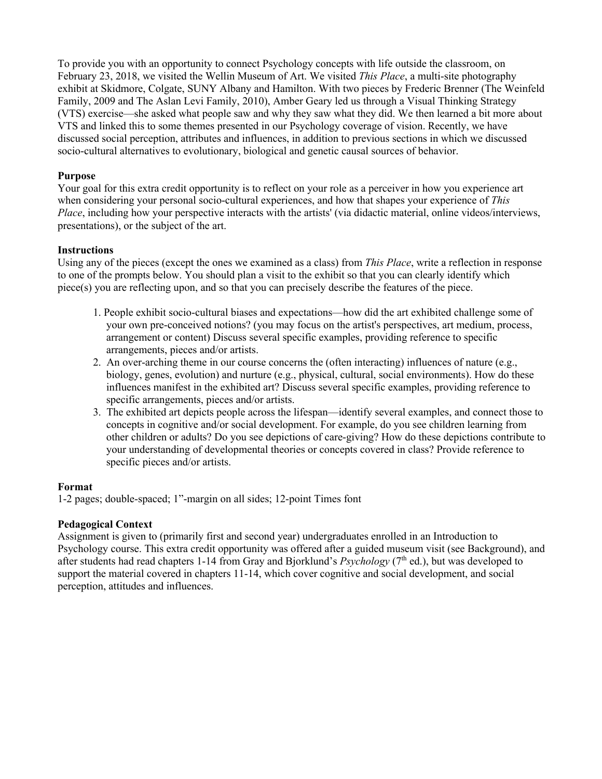To provide you with an opportunity to connect Psychology concepts with life outside the classroom, on February 23, 2018, we visited the Wellin Museum of Art. We visited *This Place*, a multi-site photography exhibit at Skidmore, Colgate, SUNY Albany and Hamilton. With two pieces by Frederic Brenner (The Weinfeld Family, 2009 and The Aslan Levi Family, 2010), Amber Geary led us through a Visual Thinking Strategy (VTS) exercise—she asked what people saw and why they saw what they did. We then learned a bit more about VTS and linked this to some themes presented in our Psychology coverage of vision. Recently, we have discussed social perception, attributes and influences, in addition to previous sections in which we discussed socio-cultural alternatives to evolutionary, biological and genetic causal sources of behavior.

## **Purpose**

Your goal for this extra credit opportunity is to reflect on your role as a perceiver in how you experience art when considering your personal socio-cultural experiences, and how that shapes your experience of *This Place*, including how your perspective interacts with the artists' (via didactic material, online videos/interviews, presentations), or the subject of the art.

## **Instructions**

Using any of the pieces (except the ones we examined as a class) from *This Place*, write a reflection in response to one of the prompts below. You should plan a visit to the exhibit so that you can clearly identify which piece(s) you are reflecting upon, and so that you can precisely describe the features of the piece.

- 1. People exhibit socio-cultural biases and expectations—how did the art exhibited challenge some of your own pre-conceived notions? (you may focus on the artist's perspectives, art medium, process, arrangement or content) Discuss several specific examples, providing reference to specific arrangements, pieces and/or artists.
- 2. An over-arching theme in our course concerns the (often interacting) influences of nature (e.g., biology, genes, evolution) and nurture (e.g., physical, cultural, social environments). How do these influences manifest in the exhibited art? Discuss several specific examples, providing reference to specific arrangements, pieces and/or artists.
- 3. The exhibited art depicts people across the lifespan—identify several examples, and connect those to concepts in cognitive and/or social development. For example, do you see children learning from other children or adults? Do you see depictions of care-giving? How do these depictions contribute to your understanding of developmental theories or concepts covered in class? Provide reference to specific pieces and/or artists.

#### **Format**

1-2 pages; double-spaced; 1"-margin on all sides; 12-point Times font

## **Pedagogical Context**

Assignment is given to (primarily first and second year) undergraduates enrolled in an Introduction to Psychology course. This extra credit opportunity was offered after a guided museum visit (see Background), and after students had read chapters 1-14 from Gray and Bjorklund's *Psychology* (7<sup>th</sup> ed.), but was developed to support the material covered in chapters 11-14, which cover cognitive and social development, and social perception, attitudes and influences.